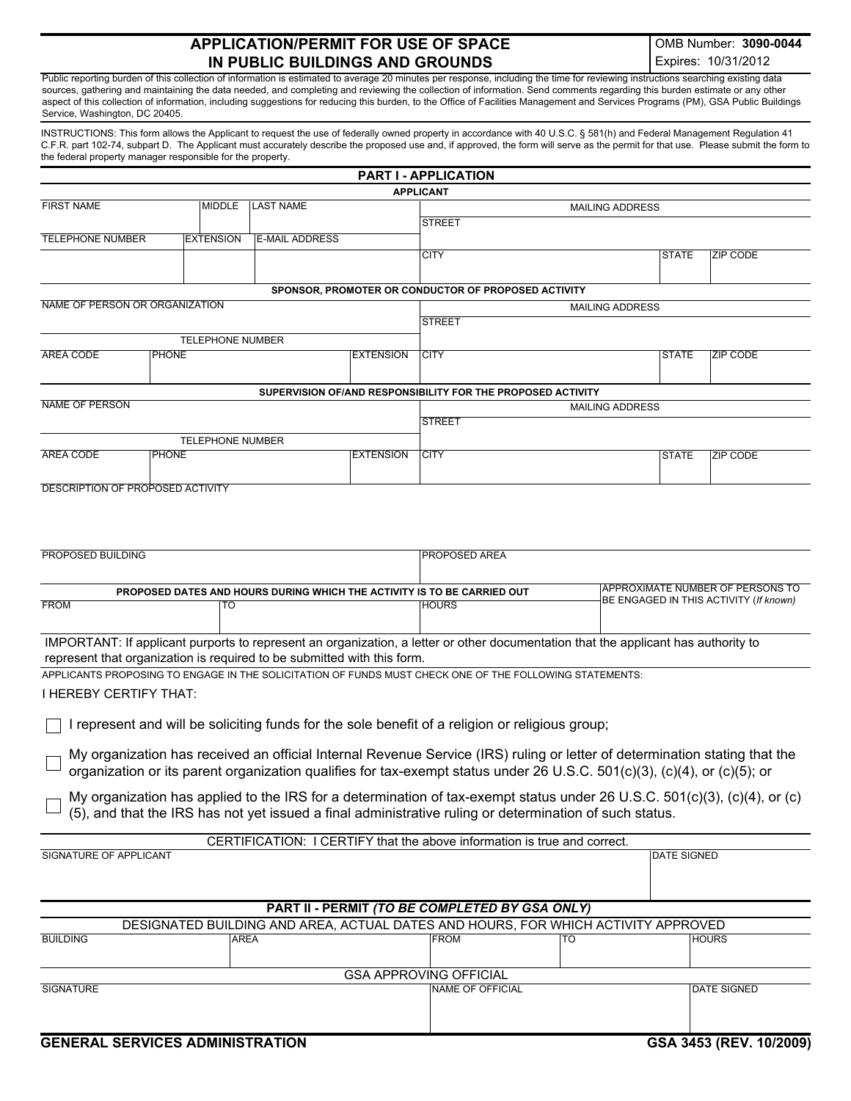## **APPLICATION/PERMIT FOR USE OF SPACE IN PUBLIC BUILDINGS AND GROUNDS**

OMB Number: **3090-0044** Expires: 10/31/2012

Public reporting burden of this collection of information is estimated to average 20 minutes per response, including the time for reviewing instructions searching existing data sources, gathering and maintaining the data needed, and completing and reviewing the collection of information. Send comments regarding this burden estimate or any other aspect of this collection of information, including suggestions for reducing this burden, to the Office of Facilities Management and Services Programs (PM), GSA Public Buildings Service, Washington, DC 20405.

INSTRUCTIONS: This form allows the Applicant to request the use of federally owned property in accordance with 40 U.S.C. § 581(h) and Federal Management Regulation 41 C.F.R. part 102-74, subpart D. The Applicant must accurately describe the proposed use and, if approved, the form will serve as the permit for that use. Please submit the form to the federal property manager responsible for the property.

|                                  |              |                         |                                                                         |                  | <b>PART I - APPLICATION</b>                                                                                                                                   |  |              |                 |
|----------------------------------|--------------|-------------------------|-------------------------------------------------------------------------|------------------|---------------------------------------------------------------------------------------------------------------------------------------------------------------|--|--------------|-----------------|
|                                  |              |                         |                                                                         |                  | <b>APPLICANT</b>                                                                                                                                              |  |              |                 |
| <b>FIRST NAME</b>                |              | <b>MIDDLE</b>           | <b>ILAST NAME</b>                                                       |                  | <b>MAILING ADDRESS</b>                                                                                                                                        |  |              |                 |
|                                  |              |                         |                                                                         |                  | <b>STREET</b>                                                                                                                                                 |  |              |                 |
| <b>TELEPHONE NUMBER</b>          |              | <b>EXTENSION</b>        | <b>E-MAIL ADDRESS</b>                                                   |                  |                                                                                                                                                               |  |              |                 |
|                                  |              |                         |                                                                         |                  | <b>CITY</b>                                                                                                                                                   |  | <b>STATE</b> | <b>ZIP CODE</b> |
|                                  |              |                         |                                                                         |                  |                                                                                                                                                               |  |              |                 |
|                                  |              |                         |                                                                         |                  | SPONSOR, PROMOTER OR CONDUCTOR OF PROPOSED ACTIVITY                                                                                                           |  |              |                 |
| NAME OF PERSON OR ORGANIZATION   |              |                         |                                                                         |                  | <b>MAILING ADDRESS</b>                                                                                                                                        |  |              |                 |
|                                  |              |                         |                                                                         |                  | <b>STREET</b>                                                                                                                                                 |  |              |                 |
|                                  |              | <b>TELEPHONE NUMBER</b> |                                                                         |                  |                                                                                                                                                               |  |              |                 |
| <b>AREA CODE</b>                 | <b>PHONE</b> |                         |                                                                         | <b>EXTENSION</b> | <b>CITY</b>                                                                                                                                                   |  | <b>STATE</b> | <b>ZIP CODE</b> |
|                                  |              |                         |                                                                         |                  |                                                                                                                                                               |  |              |                 |
|                                  |              |                         |                                                                         |                  |                                                                                                                                                               |  |              |                 |
| <b>NAME OF PERSON</b>            |              |                         |                                                                         |                  | SUPERVISION OF/AND RESPONSIBILITY FOR THE PROPOSED ACTIVITY                                                                                                   |  |              |                 |
|                                  |              |                         |                                                                         |                  | <b>MAILING ADDRESS</b><br><b>STREET</b>                                                                                                                       |  |              |                 |
|                                  |              |                         |                                                                         |                  |                                                                                                                                                               |  |              |                 |
|                                  |              | <b>TELEPHONE NUMBER</b> |                                                                         |                  |                                                                                                                                                               |  |              |                 |
| <b>AREA CODE</b>                 | <b>PHONE</b> |                         |                                                                         | <b>EXTENSION</b> | <b>ICITY</b>                                                                                                                                                  |  | <b>STATE</b> | <b>ZIP CODE</b> |
|                                  |              |                         |                                                                         |                  |                                                                                                                                                               |  |              |                 |
| DESCRIPTION OF PROPOSED ACTIVITY |              |                         |                                                                         |                  |                                                                                                                                                               |  |              |                 |
|                                  |              |                         |                                                                         |                  |                                                                                                                                                               |  |              |                 |
|                                  |              |                         |                                                                         |                  |                                                                                                                                                               |  |              |                 |
|                                  |              |                         |                                                                         |                  |                                                                                                                                                               |  |              |                 |
| <b>PROPOSED BUILDING</b>         |              |                         |                                                                         |                  | <b>PROPOSED AREA</b>                                                                                                                                          |  |              |                 |
|                                  |              |                         |                                                                         |                  |                                                                                                                                                               |  |              |                 |
|                                  |              |                         |                                                                         |                  | <b>IAPPROXIMATE NUMBER OF PERSONS TO</b><br>PROPOSED DATES AND HOURS DURING WHICH THE ACTIVITY IS TO BE CARRIED OUT<br>BE ENGAGED IN THIS ACTIVITY (If known) |  |              |                 |
| <b>FROM</b><br>TO                |              |                         |                                                                         | <b>HOURS</b>     |                                                                                                                                                               |  |              |                 |
|                                  |              |                         |                                                                         |                  |                                                                                                                                                               |  |              |                 |
|                                  |              |                         |                                                                         |                  | IMPORTANT: If applicant purports to represent an organization, a letter or other documentation that the applicant has authority to                            |  |              |                 |
|                                  |              |                         | represent that organization is required to be submitted with this form. |                  |                                                                                                                                                               |  |              |                 |
|                                  |              |                         |                                                                         |                  |                                                                                                                                                               |  |              |                 |

APPLICANTS PROPOSING TO ENGAGE IN THE SOLICITATION OF FUNDS MUST CHECK ONE OF THE FOLLOWING STATEMENTS:

## I HEREBY CERTIFY THAT:

 $\Box$  I represent and will be soliciting funds for the sole benefit of a religion or religious group;

My organization has received an official Internal Revenue Service (IRS) ruling or letter of determination stating that the organization or its parent organization qualifies for tax-exempt status under 26 U.S.C. 501(c)(3), (c)(4), or (c)(5); or

My organization has applied to the IRS for a determination of tax-exempt status under 26 U.S.C. 501(c)(3), (c)(4), or (c) (5), and that the IRS has not yet issued a final administrative ruling or determination of such status.

|                                                                                   |             | CERTIFICATION: I CERTIFY that the above information is true and correct. |                    |                    |  |  |  |
|-----------------------------------------------------------------------------------|-------------|--------------------------------------------------------------------------|--------------------|--------------------|--|--|--|
| SIGNATURE OF APPLICANT                                                            |             |                                                                          | <b>DATE SIGNED</b> |                    |  |  |  |
|                                                                                   |             |                                                                          |                    |                    |  |  |  |
|                                                                                   |             |                                                                          |                    |                    |  |  |  |
|                                                                                   |             |                                                                          |                    |                    |  |  |  |
| PART II - PERMIT (TO BE COMPLETED BY GSA ONLY)                                    |             |                                                                          |                    |                    |  |  |  |
| DESIGNATED BUILDING AND AREA, ACTUAL DATES AND HOURS, FOR WHICH ACTIVITY APPROVED |             |                                                                          |                    |                    |  |  |  |
| <b>BUILDING</b>                                                                   | <b>AREA</b> | <b>FROM</b>                                                              | TO                 | <b>HOURS</b>       |  |  |  |
|                                                                                   |             |                                                                          |                    |                    |  |  |  |
| <b>GSA APPROVING OFFICIAL</b>                                                     |             |                                                                          |                    |                    |  |  |  |
| <b>SIGNATURE</b>                                                                  |             | <b>INAME OF OFFICIAL</b>                                                 |                    | <b>DATE SIGNED</b> |  |  |  |
|                                                                                   |             |                                                                          |                    |                    |  |  |  |
|                                                                                   |             |                                                                          |                    |                    |  |  |  |
|                                                                                   |             |                                                                          |                    |                    |  |  |  |